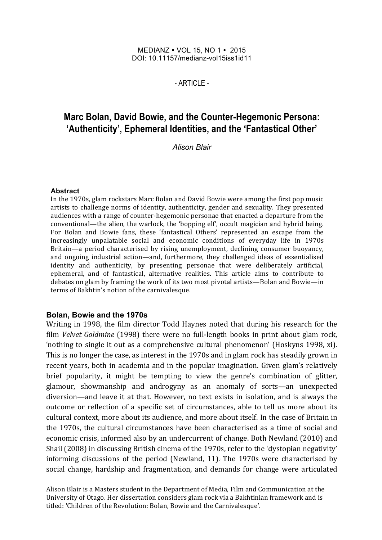#### MEDIANZ • VOL 15, NO 1 • 2015 DOI: 10.11157/medianz-vol15iss1id11

 $-$  ARTICLE $-$ 

# **Marc Bolan, David Bowie, and the Counter-Hegemonic Persona: 'Authenticity', Ephemeral Identities, and the 'Fantastical Other'**

*Alison Blair*

#### **Abstract**

In the 1970s, glam rockstars Marc Bolan and David Bowie were among the first pop music artists to challenge norms of identity, authenticity, gender and sexuality. They presented audiences with a range of counter-hegemonic personae that enacted a departure from the conventional—the alien, the warlock, the 'bopping elf', occult magician and hybrid being. For Bolan and Bowie fans, these 'fantastical Others' represented an escape from the increasingly unpalatable social and economic conditions of everyday life in 1970s Britain—a period characterised by rising unemployment, declining consumer buoyancy, and ongoing industrial action—and, furthermore, they challenged ideas of essentialised identity and authenticity, by presenting personae that were deliberately artificial, ephemeral, and of fantastical, alternative realities. This article aims to contribute to debates on glam by framing the work of its two most pivotal artists—Bolan and Bowie—in terms of Bakhtin's notion of the carnivalesque.

## **Bolan, Bowie and the 1970s**

Writing in 1998, the film director Todd Haynes noted that during his research for the film *Velvet Goldmine* (1998) there were no full-length books in print about glam rock, 'nothing to single it out as a comprehensive cultural phenomenon' (Hoskyns 1998, xi). This is no longer the case, as interest in the 1970s and in glam rock has steadily grown in recent years, both in academia and in the popular imagination. Given glam's relatively brief popularity, it might be tempting to view the genre's combination of glitter, glamour, showmanship and androgyny as an anomaly of sorts—an unexpected diversion—and leave it at that. However, no text exists in isolation, and is always the outcome or reflection of a specific set of circumstances, able to tell us more about its cultural context, more about its audience, and more about itself. In the case of Britain in the 1970s, the cultural circumstances have been characterised as a time of social and economic crisis, informed also by an undercurrent of change. Both Newland (2010) and Shail (2008) in discussing British cinema of the 1970s, refer to the 'dystopian negativity' informing discussions of the period (Newland, 11). The 1970s were characterised by social change, hardship and fragmentation, and demands for change were articulated

Alison Blair is a Masters student in the Department of Media, Film and Communication at the University of Otago. Her dissertation considers glam rock via a Bakhtinian framework and is titled: 'Children of the Revolution: Bolan, Bowie and the Carnivalesque'.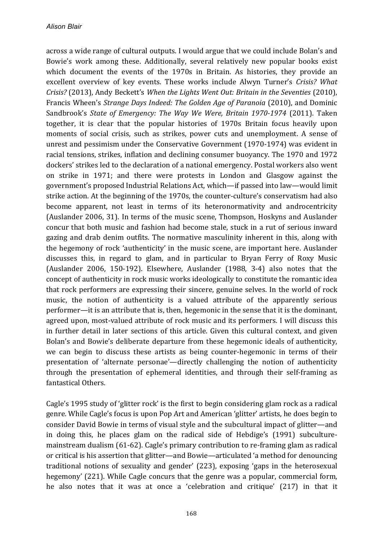across a wide range of cultural outputs. I would argue that we could include Bolan's and Bowie's work among these. Additionally, several relatively new popular books exist which document the events of the 1970s in Britain. As histories, they provide an excellent overview of key events. These works include Alwyn Turner's *Crisis? What Crisis?* (2013), Andy Beckett's *When the Lights Went Out: Britain in the Seventies* (2010), Francis Wheen's *Strange Days Indeed: The Golden Age of Paranoia* (2010), and Dominic Sandbrook's *State of Emergency: The Way We Were, Britain 1970-1974* (2011). Taken together, it is clear that the popular histories of 1970s Britain focus heavily upon moments of social crisis, such as strikes, power cuts and unemployment. A sense of unrest and pessimism under the Conservative Government (1970-1974) was evident in racial tensions, strikes, inflation and declining consumer buoyancy. The 1970 and 1972 dockers' strikes led to the declaration of a national emergency. Postal workers also went on strike in 1971; and there were protests in London and Glasgow against the government's proposed Industrial Relations Act, which—if passed into law—would limit strike action. At the beginning of the 1970s, the counter-culture's conservatism had also become apparent, not least in terms of its heteronormativity and androcentricity (Auslander 2006, 31). In terms of the music scene, Thompson, Hoskyns and Auslander concur that both music and fashion had become stale, stuck in a rut of serious inward gazing and drab denim outfits. The normative masculinity inherent in this, along with the hegemony of rock 'authenticity' in the music scene, are important here. Auslander discusses this, in regard to glam, and in particular to Bryan Ferry of Roxy Music (Auslander 2006, 150-192). Elsewhere, Auslander (1988, 3-4) also notes that the concept of authenticity in rock music works ideologically to constitute the romantic idea that rock performers are expressing their sincere, genuine selves. In the world of rock music, the notion of authenticity is a valued attribute of the apparently serious performer—it is an attribute that is, then, hegemonic in the sense that it is the dominant, agreed upon, most-valued attribute of rock music and its performers. I will discuss this in further detail in later sections of this article. Given this cultural context, and given Bolan's and Bowie's deliberate departure from these hegemonic ideals of authenticity, we can begin to discuss these artists as being counter-hegemonic in terms of their presentation of 'alternate personae'—directly challenging the notion of authenticity through the presentation of ephemeral identities, and through their self-framing as fantastical Others.

Cagle's 1995 study of 'glitter rock' is the first to begin considering glam rock as a radical genre. While Cagle's focus is upon Pop Art and American 'glitter' artists, he does begin to consider David Bowie in terms of visual style and the subcultural impact of glitter—and in doing this, he places glam on the radical side of Hebdige's (1991) subculturemainstream dualism  $(61-62)$ . Cagle's primary contribution to re-framing glam as radical or critical is his assertion that glitter—and Bowie—articulated 'a method for denouncing traditional notions of sexuality and gender' (223), exposing 'gaps in the heterosexual hegemony' (221). While Cagle concurs that the genre was a popular, commercial form, he also notes that it was at once a 'celebration and critique' (217) in that it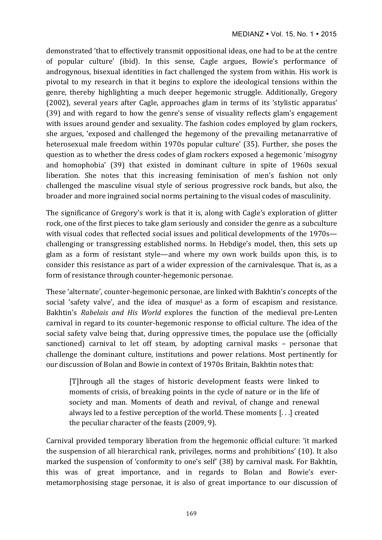demonstrated 'that to effectively transmit oppositional ideas, one had to be at the centre of popular culture' (ibid). In this sense, Cagle argues, Bowie's performance of androgynous, bisexual identities in fact challenged the system from within. His work is pivotal to my research in that it begins to explore the ideological tensions within the genre, thereby highlighting a much deeper hegemonic struggle. Additionally, Gregory (2002), several years after Cagle, approaches glam in terms of its 'stylistic apparatus' (39) and with regard to how the genre's sense of visuality reflects glam's engagement with issues around gender and sexuality. The fashion codes employed by glam rockers, she argues, 'exposed and challenged the hegemony of the prevailing metanarrative of heterosexual male freedom within 1970s popular culture' (35). Further, she poses the question as to whether the dress codes of glam rockers exposed a hegemonic 'misogyny and homophobia' (39) that existed in dominant culture in spite of 1960s sexual liberation. She notes that this increasing feminisation of men's fashion not only challenged the masculine visual style of serious progressive rock bands, but also, the broader and more ingrained social norms pertaining to the visual codes of masculinity.

The significance of Gregory's work is that it is, along with Cagle's exploration of glitter rock, one of the first pieces to take glam seriously and consider the genre as a subculture with visual codes that reflected social issues and political developments of the 1970s challenging or transgressing established norms. In Hebdige's model, then, this sets up glam as a form of resistant style—and where my own work builds upon this, is to consider this resistance as part of a wider expression of the carnivalesque. That is, as a form of resistance through counter-hegemonic personae.

These 'alternate', counter-hegemonic personae, are linked with Bakhtin's concepts of the social 'safety valve', and the idea of *masque*<sup>1</sup> as a form of escapism and resistance. Bakhtin's *Rabelais and His World* explores the function of the medieval pre-Lenten carnival in regard to its counter-hegemonic response to official culture. The idea of the social safety valve being that, during oppressive times, the populace use the (officially sanctioned) carnival to let off steam, by adopting carnival masks - personae that challenge the dominant culture, institutions and power relations. Most pertinently for our discussion of Bolan and Bowie in context of 1970s Britain, Bakhtin notes that:

[T]hrough all the stages of historic development feasts were linked to moments of crisis, of breaking points in the cycle of nature or in the life of society and man. Moments of death and revival, of change and renewal always led to a festive perception of the world. These moments  $[...]$  created the peculiar character of the feasts  $(2009, 9)$ .

Carnival provided temporary liberation from the hegemonic official culture: 'it marked the suspension of all hierarchical rank, privileges, norms and prohibitions' (10). It also marked the suspension of 'conformity to one's self' (38) by carnival mask. For Bakhtin, this was of great importance, and in regards to Bolan and Bowie's evermetamorphosising stage personae, it is also of great importance to our discussion of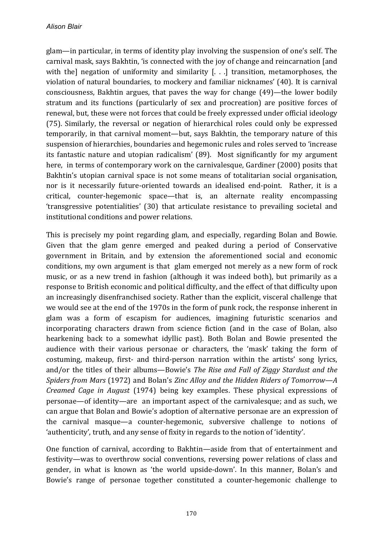glam—in particular, in terms of identity play involving the suspension of one's self. The carnival mask, says Bakhtin, 'is connected with the joy of change and reincarnation [and with the] negation of uniformity and similarity  $[...]$  transition, metamorphoses, the violation of natural boundaries, to mockery and familiar nicknames' (40). It is carnival consciousness, Bakhtin argues, that paves the way for change  $(49)$ —the lower bodily stratum and its functions (particularly of sex and procreation) are positive forces of renewal, but, these were not forces that could be freely expressed under official ideology (75). Similarly, the reversal or negation of hierarchical roles could only be expressed temporarily, in that carnival moment—but, says Bakhtin, the temporary nature of this suspension of hierarchies, boundaries and hegemonic rules and roles served to 'increase its fantastic nature and utopian radicalism' (89). Most significantly for my argument here, in terms of contemporary work on the carnivalesque, Gardiner (2000) posits that Bakhtin's utopian carnival space is not some means of totalitarian social organisation, nor is it necessarily future-oriented towards an idealised end-point. Rather, it is a critical, counter-hegemonic space—that is, an alternate reality encompassing 'transgressive potentialities' (30) that articulate resistance to prevailing societal and institutional conditions and power relations.

This is precisely my point regarding glam, and especially, regarding Bolan and Bowie. Given that the glam genre emerged and peaked during a period of Conservative government in Britain, and by extension the aforementioned social and economic conditions, my own argument is that glam emerged not merely as a new form of rock music, or as a new trend in fashion (although it was indeed both), but primarily as a response to British economic and political difficulty, and the effect of that difficulty upon an increasingly disenfranchised society. Rather than the explicit, visceral challenge that we would see at the end of the 1970s in the form of punk rock, the response inherent in glam was a form of escapism for audiences, imagining futuristic scenarios and incorporating characters drawn from science fiction (and in the case of Bolan, also hearkening back to a somewhat idyllic past). Both Bolan and Bowie presented the audience with their various personae or characters, the 'mask' taking the form of costuming, makeup, first- and third-person narration within the artists' song lyrics, and/or the titles of their albums—Bowie's *The Rise and Fall of Ziggy Stardust and the Spiders from Mars* (1972) and Bolan's *Zinc Alloy and the Hidden Riders of Tomorrow—A Creamed Cage in August* (1974) being key examples. These physical expressions of personae—of identity—are an important aspect of the carnivalesque; and as such, we can argue that Bolan and Bowie's adoption of alternative personae are an expression of the carnival masque—a counter-hegemonic, subversive challenge to notions of 'authenticity', truth, and any sense of fixity in regards to the notion of 'identity'.

One function of carnival, according to Bakhtin—aside from that of entertainment and festivity—was to overthrow social conventions, reversing power relations of class and gender, in what is known as 'the world upside-down'. In this manner, Bolan's and Bowie's range of personae together constituted a counter-hegemonic challenge to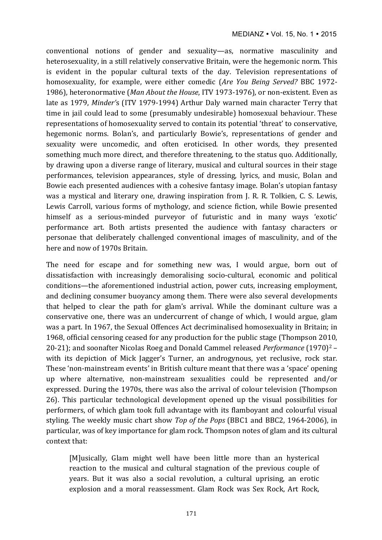conventional notions of gender and sexuality—as, normative masculinity and heterosexuality, in a still relatively conservative Britain, were the hegemonic norm. This is evident in the popular cultural texts of the day. Television representations of homosexuality, for example, were either comedic (*Are You Being Served?* BBC 1972-1986), heteronormative (Man About the House, ITV 1973-1976), or non-existent. Even as late as 1979, *Minder's* (ITV 1979-1994) Arthur Daly warned main character Terry that time in jail could lead to some (presumably undesirable) homosexual behaviour. These representations of homosexuality served to contain its potential 'threat' to conservative, hegemonic norms. Bolan's, and particularly Bowie's, representations of gender and sexuality were uncomedic, and often eroticised. In other words, they presented something much more direct, and therefore threatening, to the status quo. Additionally, by drawing upon a diverse range of literary, musical and cultural sources in their stage performances, television appearances, style of dressing, lyrics, and music, Bolan and Bowie each presented audiences with a cohesive fantasy image. Bolan's utopian fantasy was a mystical and literary one, drawing inspiration from J. R. R. Tolkien, C. S. Lewis, Lewis Carroll, various forms of mythology, and science fiction, while Bowie presented himself as a serious-minded purveyor of futuristic and in many ways 'exotic' performance art. Both artists presented the audience with fantasy characters or personae that deliberately challenged conventional images of masculinity, and of the here and now of 1970s Britain.

The need for escape and for something new was, I would argue, born out of dissatisfaction with increasingly demoralising socio-cultural, economic and political conditions—the aforementioned industrial action, power cuts, increasing employment, and declining consumer buoyancy among them. There were also several developments that helped to clear the path for glam's arrival. While the dominant culture was a conservative one, there was an undercurrent of change of which, I would argue, glam was a part. In 1967, the Sexual Offences Act decriminalised homosexuality in Britain; in 1968, official censoring ceased for any production for the public stage (Thompson 2010, 20-21); and soonafter Nicolas Roeg and Donald Cammel released *Performance* (1970)<sup>2</sup> – with its depiction of Mick Jagger's Turner, an androgynous, yet reclusive, rock star. These 'non-mainstream events' in British culture meant that there was a 'space' opening up where alternative, non-mainstream sexualities could be represented and/or expressed. During the 1970s, there was also the arrival of colour television (Thompson 26). This particular technological development opened up the visual possibilities for performers, of which glam took full advantage with its flamboyant and colourful visual styling. The weekly music chart show *Top of the Pops* (BBC1 and BBC2, 1964-2006), in particular, was of key importance for glam rock. Thompson notes of glam and its cultural context that:

[M]usically, Glam might well have been little more than an hysterical reaction to the musical and cultural stagnation of the previous couple of years. But it was also a social revolution, a cultural uprising, an erotic explosion and a moral reassessment. Glam Rock was Sex Rock, Art Rock,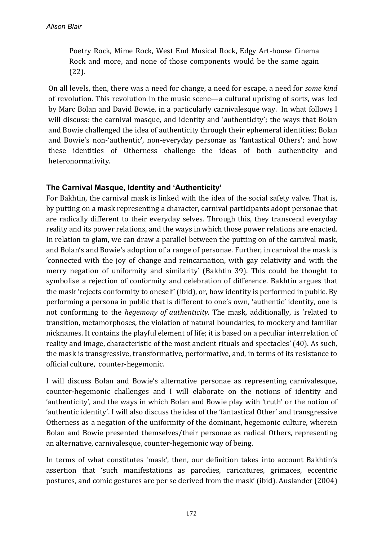Poetry Rock, Mime Rock, West End Musical Rock, Edgy Art-house Cinema Rock and more, and none of those components would be the same again (22).

On all levels, then, there was a need for change, a need for escape, a need for *some kind* of revolution. This revolution in the music scene—a cultural uprising of sorts, was led by Marc Bolan and David Bowie, in a particularly carnivalesque way. In what follows I will discuss: the carnival masque, and identity and 'authenticity'; the ways that Bolan and Bowie challenged the idea of authenticity through their ephemeral identities; Bolan and Bowie's non-'authentic', non-everyday personae as 'fantastical Others'; and how these identities of Otherness challenge the ideas of both authenticity and heteronormativity.

# **The Carnival Masque, Identity and 'Authenticity'**

For Bakhtin, the carnival mask is linked with the idea of the social safety valve. That is, by putting on a mask representing a character, carnival participants adopt personae that are radically different to their everyday selves. Through this, they transcend everyday reality and its power relations, and the ways in which those power relations are enacted. In relation to glam, we can draw a parallel between the putting on of the carnival mask, and Bolan's and Bowie's adoption of a range of personae. Further, in carnival the mask is 'connected with the joy of change and reincarnation, with gay relativity and with the merry negation of uniformity and similarity' (Bakhtin 39). This could be thought to symbolise a rejection of conformity and celebration of difference. Bakhtin argues that the mask 'rejects conformity to oneself' (ibid), or, how identity is performed in public. By performing a persona in public that is different to one's own, 'authentic' identity, one is not conforming to the *hegemony of authenticity*. The mask, additionally, is 'related to transition, metamorphoses, the violation of natural boundaries, to mockery and familiar nicknames. It contains the playful element of life; it is based on a peculiar interrelation of reality and image, characteristic of the most ancient rituals and spectacles' (40). As such, the mask is transgressive, transformative, performative, and, in terms of its resistance to official culture, counter-hegemonic.

I will discuss Bolan and Bowie's alternative personae as representing carnivalesque, counter-hegemonic challenges and I will elaborate on the notions of identity and 'authenticity', and the ways in which Bolan and Bowie play with 'truth' or the notion of 'authentic identity'. I will also discuss the idea of the 'fantastical Other' and transgressive Otherness as a negation of the uniformity of the dominant, hegemonic culture, wherein Bolan and Bowie presented themselves/their personae as radical Others, representing an alternative, carnivalesque, counter-hegemonic way of being.

In terms of what constitutes 'mask', then, our definition takes into account Bakhtin's assertion that 'such manifestations as parodies, caricatures, grimaces, eccentric postures, and comic gestures are per se derived from the mask' (ibid). Auslander (2004)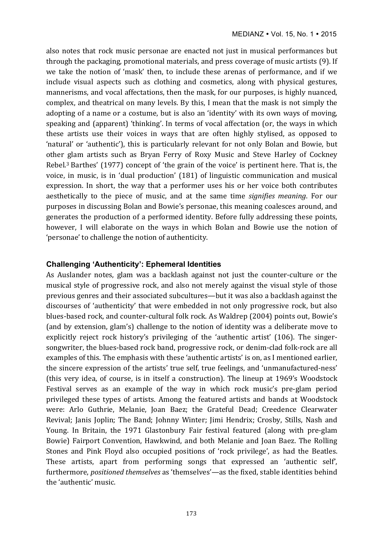also notes that rock music personae are enacted not just in musical performances but through the packaging, promotional materials, and press coverage of music artists (9). If we take the notion of 'mask' then, to include these arenas of performance, and if we include visual aspects such as clothing and cosmetics, along with physical gestures, mannerisms, and vocal affectations, then the mask, for our purposes, is highly nuanced, complex, and theatrical on many levels. By this, I mean that the mask is not simply the adopting of a name or a costume, but is also an 'identity' with its own ways of moving, speaking and (apparent) 'thinking'. In terms of vocal affectation (or, the ways in which these artists use their voices in ways that are often highly stylised, as opposed to 'natural' or 'authentic'), this is particularly relevant for not only Bolan and Bowie, but other glam artists such as Bryan Ferry of Roxy Music and Steve Harley of Cockney Rebel.<sup>3</sup> Barthes' (1977) concept of 'the grain of the voice' is pertinent here. That is, the voice, in music, is in 'dual production' (181) of linguistic communication and musical expression. In short, the way that a performer uses his or her voice both contributes aesthetically to the piece of music, and at the same time *signifies meaning*. For our purposes in discussing Bolan and Bowie's personae, this meaning coalesces around, and generates the production of a performed identity. Before fully addressing these points, however, I will elaborate on the ways in which Bolan and Bowie use the notion of 'personae' to challenge the notion of authenticity.

# **Challenging 'Authenticity': Ephemeral Identities**

As Auslander notes, glam was a backlash against not just the counter-culture or the musical style of progressive rock, and also not merely against the visual style of those previous genres and their associated subcultures—but it was also a backlash against the discourses of 'authenticity' that were embedded in not only progressive rock, but also blues-based rock, and counter-cultural folk rock. As Waldrep (2004) points out, Bowie's (and by extension, glam's) challenge to the notion of identity was a deliberate move to explicitly reject rock history's privileging of the 'authentic artist' (106). The singersongwriter, the blues-based rock band, progressive rock, or denim-clad folk-rock are all examples of this. The emphasis with these 'authentic artists' is on, as I mentioned earlier, the sincere expression of the artists' true self, true feelings, and 'unmanufactured-ness' (this very idea, of course, is in itself a construction). The lineup at 1969's Woodstock Festival serves as an example of the way in which rock music's pre-glam period privileged these types of artists. Among the featured artists and bands at Woodstock were: Arlo Guthrie, Melanie, Joan Baez; the Grateful Dead; Creedence Clearwater Revival; Janis Joplin; The Band; Johnny Winter; Jimi Hendrix; Crosby, Stills, Nash and Young. In Britain, the 1971 Glastonbury Fair festival featured (along with pre-glam Bowie) Fairport Convention, Hawkwind, and both Melanie and Joan Baez. The Rolling Stones and Pink Floyd also occupied positions of 'rock privilege', as had the Beatles. These artists, apart from performing songs that expressed an 'authentic self', furthermore, *positioned themselves* as 'themselves'—as the fixed, stable identities behind the 'authentic' music.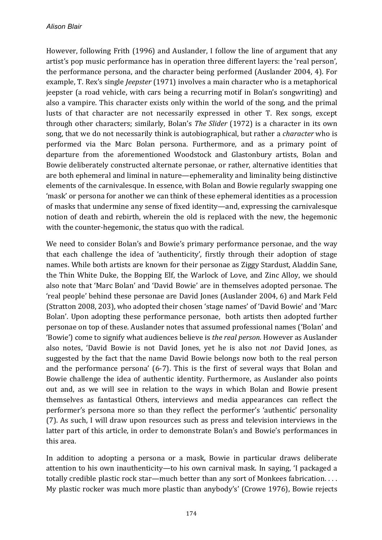However, following Frith (1996) and Auslander, I follow the line of argument that any artist's pop music performance has in operation three different layers: the 'real person', the performance persona, and the character being performed (Auslander 2004, 4). For example, T. Rex's single *Jeepster* (1971) involves a main character who is a metaphorical jeepster (a road vehicle, with cars being a recurring motif in Bolan's songwriting) and also a vampire. This character exists only within the world of the song, and the primal lusts of that character are not necessarily expressed in other T. Rex songs, except through other characters; similarly, Bolan's *The Slider* (1972) is a character in its own song, that we do not necessarily think is autobiographical, but rather a *character* who is performed via the Marc Bolan persona. Furthermore, and as a primary point of departure from the aforementioned Woodstock and Glastonbury artists, Bolan and Bowie deliberately constructed alternate personae, or rather, alternative identities that are both ephemeral and liminal in nature—ephemerality and liminality being distinctive elements of the carnivalesque. In essence, with Bolan and Bowie regularly swapping one 'mask' or persona for another we can think of these ephemeral identities as a procession of masks that undermine any sense of fixed identity—and, expressing the carnivalesque notion of death and rebirth, wherein the old is replaced with the new, the hegemonic with the counter-hegemonic, the status quo with the radical.

We need to consider Bolan's and Bowie's primary performance personae, and the way that each challenge the idea of 'authenticity', firstly through their adoption of stage names. While both artists are known for their personae as Ziggy Stardust, Aladdin Sane, the Thin White Duke, the Bopping Elf, the Warlock of Love, and Zinc Alloy, we should also note that 'Marc Bolan' and 'David Bowie' are in themselves adopted personae. The 'real people' behind these personae are David Jones (Auslander 2004, 6) and Mark Feld (Stratton 2008, 203), who adopted their chosen 'stage names' of 'David Bowie' and 'Marc Bolan'. Upon adopting these performance personae, both artists then adopted further personae on top of these. Auslander notes that assumed professional names ('Bolan' and 'Bowie') come to signify what audiences believe is *the real person*. However as Auslander also notes, 'David Bowie is not David Jones, yet he is also not *not* David Jones, as suggested by the fact that the name David Bowie belongs now both to the real person and the performance persona'  $(6-7)$ . This is the first of several ways that Bolan and Bowie challenge the idea of authentic identity. Furthermore, as Auslander also points out and, as we will see in relation to the ways in which Bolan and Bowie present themselves as fantastical Others, interviews and media appearances can reflect the performer's persona more so than they reflect the performer's 'authentic' personality (7). As such, I will draw upon resources such as press and television interviews in the latter part of this article, in order to demonstrate Bolan's and Bowie's performances in this area.

In addition to adopting a persona or a mask, Bowie in particular draws deliberate attention to his own inauthenticity—to his own carnival mask. In saying, 'I packaged a totally credible plastic rock star—much better than any sort of Monkees fabrication.  $\dots$ My plastic rocker was much more plastic than anybody's' (Crowe 1976), Bowie rejects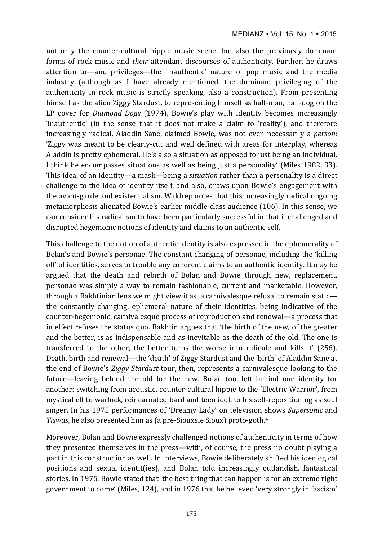not only the counter-cultural hippie music scene, but also the previously dominant forms of rock music and *their* attendant discourses of authenticity. Further, he draws attention to—and privileges—the 'inauthentic' nature of pop music and the media industry (although as I have already mentioned, the dominant privileging of the authenticity in rock music is strictly speaking, also a construction). From presenting himself as the alien Ziggy Stardust, to representing himself as half-man, half-dog on the LP cover for *Diamond Dogs* (1974), Bowie's play with identity becomes increasingly 'inauthentic' (in the sense that it does not make a claim to 'reality'), and therefore increasingly radical. Aladdin Sane, claimed Bowie, was not even necessarily a *person*: 'Ziggy was meant to be clearly-cut and well defined with areas for interplay, whereas Aladdin is pretty ephemeral. He's also a situation as opposed to just being an individual. I think he encompasses situations as well as being just a personality' (Miles 1982, 33). This idea, of an identity—a mask—being a *situation* rather than a personality is a direct challenge to the idea of identity itself, and also, draws upon Bowie's engagement with the avant-garde and existentialism. Waldrep notes that this increasingly radical ongoing metamorphosis alienated Bowie's earlier middle-class audience (106). In this sense, we can consider his radicalism to have been particularly successful in that it challenged and disrupted hegemonic notions of identity and claims to an authentic self.

This challenge to the notion of authentic identity is also expressed in the ephemerality of Bolan's and Bowie's personae. The constant changing of personae, including the 'killing off' of identities, serves to trouble any coherent claims to an authentic identity. It may be argued that the death and rebirth of Bolan and Bowie through new, replacement, personae was simply a way to remain fashionable, current and marketable. However, through a Bakhtinian lens we might view it as a carnivalesque refusal to remain static the constantly changing, ephemeral nature of their identities, being indicative of the counter-hegemonic, carnivalesque process of reproduction and renewal—a process that in effect refuses the status quo. Bakhtin argues that 'the birth of the new, of the greater and the better, is as indispensable and as inevitable as the death of the old. The one is transferred to the other, the better turns the worse into ridicule and kills it' (256). Death, birth and renewal—the 'death' of Ziggy Stardust and the 'birth' of Aladdin Sane at the end of Bowie's *Ziggy Stardust* tour, then, represents a carnivalesque looking to the future—leaving behind the old for the new. Bolan too, left behind one identity for another: switching from acoustic, counter-cultural hippie to the 'Electric Warrior', from mystical elf to warlock, reincarnated bard and teen idol, to his self-repositioning as soul singer. In his 1975 performances of 'Dreamy Lady' on television shows Supersonic and *Tiswas*, he also presented him as (a pre-Siouxsie Sioux) proto-goth.<sup>4</sup>

Moreover, Bolan and Bowie expressly challenged notions of authenticity in terms of how they presented themselves in the press—with, of course, the press no doubt playing a part in this construction as well. In interviews, Bowie deliberately shifted his ideological positions and sexual identit(ies), and Bolan told increasingly outlandish, fantastical stories. In 1975, Bowie stated that 'the best thing that can happen is for an extreme right government to come' (Miles, 124), and in 1976 that he believed 'very strongly in fascism'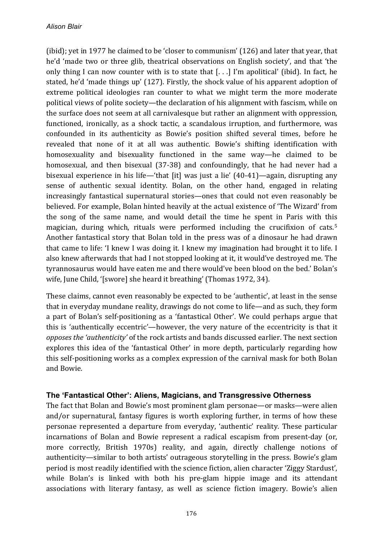(ibid); yet in 1977 he claimed to be 'closer to communism' (126) and later that year, that he'd 'made two or three glib, theatrical observations on English society', and that 'the only thing I can now counter with is to state that  $[...]$  I'm apolitical' (ibid). In fact, he stated, he'd 'made things up' (127). Firstly, the shock value of his apparent adoption of extreme political ideologies ran counter to what we might term the more moderate political views of polite society—the declaration of his alignment with fascism, while on the surface does not seem at all carnivalesque but rather an alignment with oppression, functioned, ironically, as a shock tactic, a scandalous irruption, and furthermore, was confounded in its authenticity as Bowie's position shifted several times, before he revealed that none of it at all was authentic. Bowie's shifting identification with homosexuality and bisexuality functioned in the same way—he claimed to be homosexual, and then bisexual (37-38) and confoundingly, that he had never had a bisexual experience in his life—'that [it] was just a lie'  $(40-41)$ —again, disrupting any sense of authentic sexual identity. Bolan, on the other hand, engaged in relating increasingly fantastical supernatural stories—ones that could not even reasonably be believed. For example, Bolan hinted heavily at the actual existence of 'The Wizard' from the song of the same name, and would detail the time he spent in Paris with this magician, during which, rituals were performed including the crucifixion of cats.<sup>5</sup> Another fantastical story that Bolan told in the press was of a dinosaur he had drawn that came to life: 'I knew I was doing it. I knew my imagination had brought it to life. I also knew afterwards that had I not stopped looking at it, it would've destroyed me. The tyrannosaurus would have eaten me and there would've been blood on the bed.' Bolan's wife, June Child, '[swore] she heard it breathing' (Thomas 1972, 34).

These claims, cannot even reasonably be expected to be 'authentic', at least in the sense that in everyday mundane reality, drawings do not come to life—and as such, they form a part of Bolan's self-positioning as a 'fantastical Other'. We could perhaps argue that this is 'authentically eccentric'—however, the very nature of the eccentricity is that it *opposes the 'authenticity'* of the rock artists and bands discussed earlier. The next section explores this idea of the 'fantastical Other' in more depth, particularly regarding how this self-positioning works as a complex expression of the carnival mask for both Bolan and Bowie.

## **The 'Fantastical Other': Aliens, Magicians, and Transgressive Otherness**

The fact that Bolan and Bowie's most prominent glam personae—or masks—were alien and/or supernatural, fantasy figures is worth exploring further, in terms of how these personae represented a departure from everyday, 'authentic' reality. These particular incarnations of Bolan and Bowie represent a radical escapism from present-day (or, more correctly, British 1970s) reality, and again, directly challenge notions of authenticity—similar to both artists' outrageous storytelling in the press. Bowie's glam period is most readily identified with the science fiction, alien character 'Ziggy Stardust', while Bolan's is linked with both his pre-glam hippie image and its attendant associations with literary fantasy, as well as science fiction imagery. Bowie's alien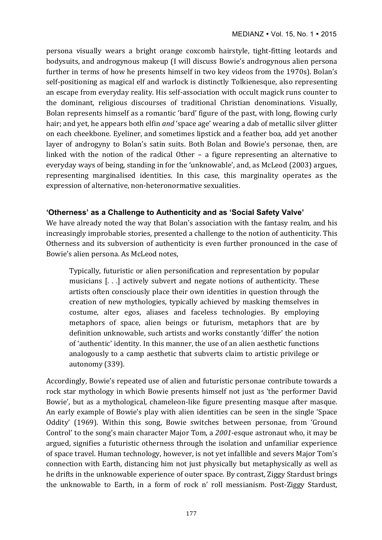persona visually wears a bright orange coxcomb hairstyle, tight-fitting leotards and bodysuits, and androgynous makeup (I will discuss Bowie's androgynous alien persona further in terms of how he presents himself in two key videos from the 1970s). Bolan's self-positioning as magical elf and warlock is distinctly Tolkienesque, also representing an escape from everyday reality. His self-association with occult magick runs counter to the dominant, religious discourses of traditional Christian denominations. Visually, Bolan represents himself as a romantic 'bard' figure of the past, with long, flowing curly hair; and yet, he appears both elfin *and* 'space age' wearing a dab of metallic silver glitter on each cheekbone. Eyeliner, and sometimes lipstick and a feather boa, add yet another layer of androgyny to Bolan's satin suits. Both Bolan and Bowie's personae, then, are linked with the notion of the radical Other  $-$  a figure representing an alternative to everyday ways of being, standing in for the 'unknowable', and, as McLeod (2003) argues, representing marginalised identities. In this case, this marginality operates as the expression of alternative, non-heteronormative sexualities.

# **'Otherness' as a Challenge to Authenticity and as 'Social Safety Valve'**

We have already noted the way that Bolan's association with the fantasy realm, and his increasingly improbable stories, presented a challenge to the notion of authenticity. This Otherness and its subversion of authenticity is even further pronounced in the case of Bowie's alien persona. As McLeod notes,

Typically, futuristic or alien personification and representation by popular musicians  $[$ ...] actively subvert and negate notions of authenticity. These artists often consciously place their own identities in question through the creation of new mythologies, typically achieved by masking themselves in costume, alter egos, aliases and faceless technologies. By employing metaphors of space, alien beings or futurism, metaphors that are by definition unknowable, such artists and works constantly 'differ' the notion of 'authentic' identity. In this manner, the use of an alien aesthetic functions analogously to a camp aesthetic that subverts claim to artistic privilege or autonomy (339).

Accordingly, Bowie's repeated use of alien and futuristic personae contribute towards a rock star mythology in which Bowie presents himself not just as 'the performer David Bowie', but as a mythological, chameleon-like figure presenting masque after masque. An early example of Bowie's play with alien identities can be seen in the single 'Space Oddity' (1969). Within this song, Bowie switches between personae, from 'Ground Control' to the song's main character Major Tom, a 2001-esque astronaut who, it may be argued, signifies a futuristic otherness through the isolation and unfamiliar experience of space travel. Human technology, however, is not yet infallible and severs Major Tom's connection with Earth, distancing him not just physically but metaphysically as well as he drifts in the unknowable experience of outer space. By contrast, Ziggy Stardust brings the unknowable to Earth, in a form of rock n' roll messianism. Post-Ziggy Stardust,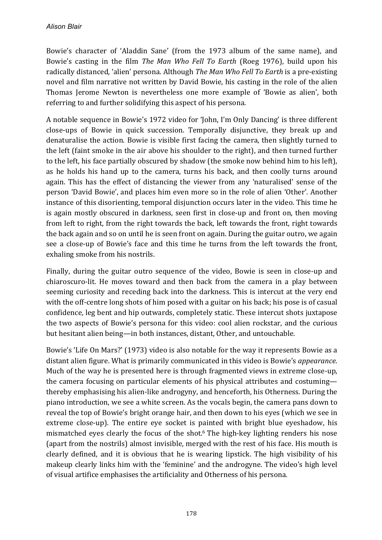Bowie's character of 'Aladdin Sane' (from the 1973 album of the same name), and Bowie's casting in the film *The Man Who Fell To Earth* (Roeg 1976), build upon his radically distanced, 'alien' persona. Although *The Man Who Fell To Earth* is a pre-existing novel and film narrative not written by David Bowie, his casting in the role of the alien Thomas Jerome Newton is nevertheless one more example of 'Bowie as alien', both referring to and further solidifying this aspect of his persona.

A notable sequence in Bowie's 1972 video for 'John, I'm Only Dancing' is three different close-ups of Bowie in quick succession. Temporally disjunctive, they break up and denaturalise the action. Bowie is visible first facing the camera, then slightly turned to the left (faint smoke in the air above his shoulder to the right), and then turned further to the left, his face partially obscured by shadow (the smoke now behind him to his left), as he holds his hand up to the camera, turns his back, and then coolly turns around again. This has the effect of distancing the viewer from any 'naturalised' sense of the person 'David Bowie', and places him even more so in the role of alien 'Other'. Another instance of this disorienting, temporal disjunction occurs later in the video. This time he is again mostly obscured in darkness, seen first in close-up and front on, then moving from left to right, from the right towards the back, left towards the front, right towards the back again and so on until he is seen front on again. During the guitar outro, we again see a close-up of Bowie's face and this time he turns from the left towards the front, exhaling smoke from his nostrils.

Finally, during the guitar outro sequence of the video, Bowie is seen in close-up and chiaroscuro-lit. He moves toward and then back from the camera in a play between seeming curiosity and receding back into the darkness. This is intercut at the very end with the off-centre long shots of him posed with a guitar on his back; his pose is of casual confidence, leg bent and hip outwards, completely static. These intercut shots juxtapose the two aspects of Bowie's persona for this video: cool alien rockstar, and the curious but hesitant alien being—in both instances, distant, Other, and untouchable.

Bowie's 'Life On Mars?' (1973) video is also notable for the way it represents Bowie as a distant alien figure. What is primarily communicated in this video is Bowie's *appearance*. Much of the way he is presented here is through fragmented views in extreme close-up, the camera focusing on particular elements of his physical attributes and costuming thereby emphasising his alien-like androgyny, and henceforth, his Otherness. During the piano introduction, we see a white screen. As the vocals begin, the camera pans down to reveal the top of Bowie's bright orange hair, and then down to his eyes (which we see in extreme close-up). The entire eye socket is painted with bright blue eyeshadow, his mismatched eyes clearly the focus of the shot.<sup>6</sup> The high-key lighting renders his nose (apart from the nostrils) almost invisible, merged with the rest of his face. His mouth is clearly defined, and it is obvious that he is wearing lipstick. The high visibility of his makeup clearly links him with the 'feminine' and the androgyne. The video's high level of visual artifice emphasises the artificiality and Otherness of his persona.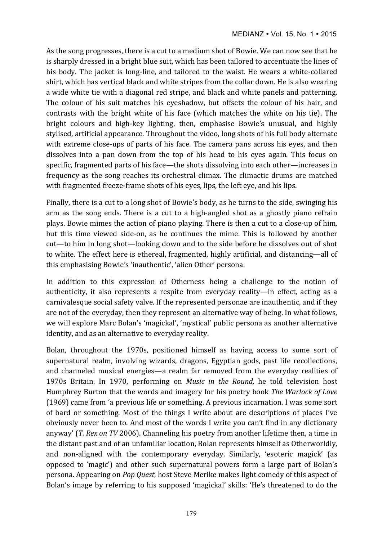As the song progresses, there is a cut to a medium shot of Bowie. We can now see that he is sharply dressed in a bright blue suit, which has been tailored to accentuate the lines of his body. The jacket is long-line, and tailored to the waist. He wears a white-collared shirt, which has vertical black and white stripes from the collar down. He is also wearing a wide white tie with a diagonal red stripe, and black and white panels and patterning. The colour of his suit matches his eyeshadow, but offsets the colour of his hair, and contrasts with the bright white of his face (which matches the white on his tie). The bright colours and high-key lighting, then, emphasise Bowie's unusual, and highly stylised, artificial appearance. Throughout the video, long shots of his full body alternate with extreme close-ups of parts of his face. The camera pans across his eves, and then dissolves into a pan down from the top of his head to his eyes again. This focus on specific, fragmented parts of his face—the shots dissolving into each other—increases in frequency as the song reaches its orchestral climax. The climactic drums are matched with fragmented freeze-frame shots of his eyes, lips, the left eye, and his lips.

Finally, there is a cut to a long shot of Bowie's body, as he turns to the side, swinging his arm as the song ends. There is a cut to a high-angled shot as a ghostly piano refrain plays. Bowie mimes the action of piano playing. There is then a cut to a close-up of him, but this time viewed side-on, as he continues the mime. This is followed by another cut—to him in long shot—looking down and to the side before he dissolves out of shot to white. The effect here is ethereal, fragmented, highly artificial, and distancing—all of this emphasising Bowie's 'inauthentic', 'alien Other' persona.

In addition to this expression of Otherness being a challenge to the notion of authenticity, it also represents a respite from everyday reality—in effect, acting as a carnivalesque social safety valve. If the represented personae are inauthentic, and if they are not of the everyday, then they represent an alternative way of being. In what follows, we will explore Marc Bolan's 'magickal', 'mystical' public persona as another alternative identity, and as an alternative to everyday reality.

Bolan, throughout the 1970s, positioned himself as having access to some sort of supernatural realm, involving wizards, dragons, Egyptian gods, past life recollections, and channeled musical energies—a realm far removed from the everyday realities of 1970s Britain. In 1970, performing on *Music in the Round*, he told television host Humphrey Burton that the words and imagery for his poetry book *The Warlock of Love* (1969) came from 'a previous life or something. A previous incarnation. I was some sort of bard or something. Most of the things I write about are descriptions of places I've obviously never been to. And most of the words I write you can't find in any dictionary anyway' (*T. Rex on TV* 2006). Channeling his poetry from another lifetime then, a time in the distant past and of an unfamiliar location, Bolan represents himself as Otherworldly, and non-aligned with the contemporary everyday. Similarly, 'esoteric magick' (as opposed to 'magic') and other such supernatural powers form a large part of Bolan's persona. Appearing on *Pop Quest*, host Steve Merike makes light comedy of this aspect of Bolan's image by referring to his supposed 'magickal' skills: 'He's threatened to do the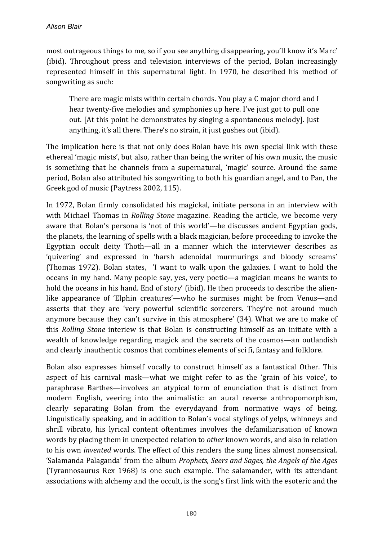most outrageous things to me, so if you see anything disappearing, you'll know it's Marc' (ibid). Throughout press and television interviews of the period, Bolan increasingly represented himself in this supernatural light. In 1970, he described his method of songwriting as such:

There are magic mists within certain chords. You play a C major chord and I hear twenty-five melodies and symphonies up here. I've just got to pull one out. [At this point he demonstrates by singing a spontaneous melody]. Just anything, it's all there. There's no strain, it just gushes out (ibid).

The implication here is that not only does Bolan have his own special link with these ethereal 'magic mists', but also, rather than being the writer of his own music, the music is something that he channels from a supernatural, 'magic' source. Around the same period, Bolan also attributed his songwriting to both his guardian angel, and to Pan, the Greek god of music (Paytress 2002, 115).

In 1972, Bolan firmly consolidated his magickal, initiate persona in an interview with with Michael Thomas in *Rolling Stone* magazine. Reading the article, we become very aware that Bolan's persona is 'not of this world'—he discusses ancient Egyptian gods, the planets, the learning of spells with a black magician, before proceeding to invoke the Egyptian occult deity Thoth—all in a manner which the interviewer describes as 'quivering' and expressed in 'harsh adenoidal murmurings and bloody screams' (Thomas 1972). Bolan states, 'I want to walk upon the galaxies. I want to hold the oceans in my hand. Many people say, yes, very poetic—a magician means he wants to hold the oceans in his hand. End of story' (ibid). He then proceeds to describe the alienlike appearance of 'Elphin creatures'—who he surmises might be from Venus—and asserts that they are 'very powerful scientific sorcerers. They're not around much anymore because they can't survive in this atmosphere' (34). What we are to make of this *Rolling Stone* interiew is that Bolan is constructing himself as an initiate with a wealth of knowledge regarding magick and the secrets of the cosmos—an outlandish and clearly inauthentic cosmos that combines elements of sci fi, fantasy and folklore.

Bolan also expresses himself vocally to construct himself as a fantastical Other. This aspect of his carnival mask—what we might refer to as the 'grain of his voice', to paraphrase Barthes—involves an atypical form of enunciation that is distinct from modern English, veering into the animalistic: an aural reverse anthropomorphism, clearly separating Bolan from the everydayand from normative ways of being. Linguistically speaking, and in addition to Bolan's vocal stylings of velps, whinneys and shrill vibrato, his lyrical content oftentimes involves the defamiliarisation of known words by placing them in unexpected relation to *other* known words, and also in relation to his own *invented* words. The effect of this renders the sung lines almost nonsensical. 'Salamanda Palaganda' from the album *Prophets, Seers and Sages, the Angels of the Ages* (Tyrannosaurus Rex 1968) is one such example. The salamander, with its attendant associations with alchemy and the occult, is the song's first link with the esoteric and the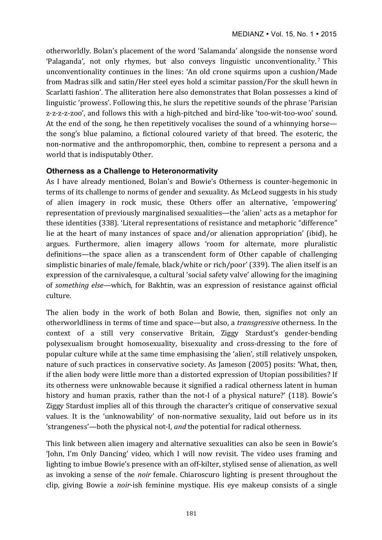otherworldly. Bolan's placement of the word 'Salamanda' alongside the nonsense word 'Palaganda', not only rhymes, but also conveys linguistic unconventionality.<sup>7</sup> This unconventionality continues in the lines: 'An old crone squirms upon a cushion/Made from Madras silk and satin/Her steel eyes hold a scimitar passion/For the skull hewn in Scarlatti fashion'. The alliteration here also demonstrates that Bolan possesses a kind of linguistic 'prowess'. Following this, he slurs the repetitive sounds of the phrase 'Parisian z-z-z-z-zoo', and follows this with a high-pitched and bird-like 'too-wit-too-woo' sound. At the end of the song, he then repetitively vocalises the sound of a whinnying horse the song's blue palamino, a fictional coloured variety of that breed. The esoteric, the non-normative and the anthropomorphic, then, combine to represent a persona and a world that is indisputably Other.

## **Otherness as a Challenge to Heteronormativity**

As I have already mentioned, Bolan's and Bowie's Otherness is counter-hegemonic in terms of its challenge to norms of gender and sexuality. As McLeod suggests in his study of alien imagery in rock music, these Others offer an alternative, 'empowering' representation of previously marginalised sexualities—the 'alien' acts as a metaphor for these identities (338). 'Literal representations of resistance and metaphoric "difference" lie at the heart of many instances of space and/or alienation appropriation' (ibid), he argues. Furthermore, alien imagery allows 'room for alternate, more pluralistic definitions—the space alien as a transcendent form of Other capable of challenging simplistic binaries of male/female, black/white or rich/poor' (339). The alien itself is an expression of the carnivalesque, a cultural 'social safety valve' allowing for the imagining of *something else*—which, for Bakhtin, was an expression of resistance against official culture.

The alien body in the work of both Bolan and Bowie, then, signifies not only an otherworldliness in terms of time and space—but also, a *transgressive* otherness. In the context of a still very conservative Britain, Ziggy Stardust's gender-bending polysexualism brought homosexuality, bisexuality and cross-dressing to the fore of popular culture while at the same time emphasising the 'alien', still relatively unspoken, nature of such practices in conservative society. As Jameson (2005) posits: 'What, then, if the alien body were little more than a distorted expression of Utopian possibilities? If its otherness were unknowable because it signified a radical otherness latent in human history and human praxis, rather than the not-I of a physical nature?' (118). Bowie's Ziggy Stardust implies all of this through the character's critique of conservative sexual values. It is the 'unknowability' of non-normative sexuality, laid out before us in its 'strangeness'—both the physical not-I, *and* the potential for radical otherness.

This link between alien imagery and alternative sexualities can also be seen in Bowie's 'John, I'm Only Dancing' video, which I will now revisit. The video uses framing and lighting to imbue Bowie's presence with an off-kilter, stylised sense of alienation, as well as invoking a sense of the *noir* female. Chiaroscuro lighting is present throughout the clip, giving Bowie a *noir*-ish feminine mystique. His eye makeup consists of a single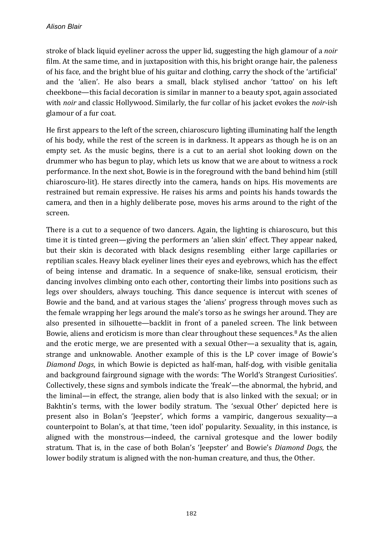stroke of black liquid eyeliner across the upper lid, suggesting the high glamour of a *noir* film. At the same time, and in juxtaposition with this, his bright orange hair, the paleness of his face, and the bright blue of his guitar and clothing, carry the shock of the 'artificial' and the 'alien'. He also bears a small, black stylised anchor 'tattoo' on his left cheekbone—this facial decoration is similar in manner to a beauty spot, again associated with *noir* and classic Hollywood. Similarly, the fur collar of his jacket evokes the *noir*-ish glamour of a fur coat.

He first appears to the left of the screen, chiaroscuro lighting illuminating half the length of his body, while the rest of the screen is in darkness. It appears as though he is on an empty set. As the music begins, there is a cut to an aerial shot looking down on the drummer who has begun to play, which lets us know that we are about to witness a rock performance. In the next shot, Bowie is in the foreground with the band behind him (still chiaroscuro-lit). He stares directly into the camera, hands on hips. His movements are restrained but remain expressive. He raises his arms and points his hands towards the camera, and then in a highly deliberate pose, moves his arms around to the right of the screen.

There is a cut to a sequence of two dancers. Again, the lighting is chiaroscuro, but this time it is tinted green—giving the performers an 'alien skin' effect. They appear naked, but their skin is decorated with black designs resembling either large capillaries or reptilian scales. Heavy black eyeliner lines their eyes and eyebrows, which has the effect of being intense and dramatic. In a sequence of snake-like, sensual eroticism, their dancing involves climbing onto each other, contorting their limbs into positions such as legs over shoulders, always touching. This dance sequence is intercut with scenes of Bowie and the band, and at various stages the 'aliens' progress through moves such as the female wrapping her legs around the male's torso as he swings her around. They are also presented in silhouette—backlit in front of a paneled screen. The link between Bowie, aliens and eroticism is more than clear throughout these sequences.<sup>8</sup> As the alien and the erotic merge, we are presented with a sexual Other—a sexuality that is, again, strange and unknowable. Another example of this is the LP cover image of Bowie's *Diamond Dogs*, in which Bowie is depicted as half-man, half-dog, with visible genitalia and background fairground signage with the words: 'The World's Strangest Curiosities'. Collectively, these signs and symbols indicate the 'freak'—the abnormal, the hybrid, and the liminal—in effect, the strange, alien body that is also linked with the sexual; or in Bakhtin's terms, with the lower bodily stratum. The 'sexual Other' depicted here is present also in Bolan's 'Jeepster', which forms a vampiric, dangerous sexuality—a counterpoint to Bolan's, at that time, 'teen idol' popularity. Sexuality, in this instance, is aligned with the monstrous—indeed, the carnival grotesque and the lower bodily stratum. That is, in the case of both Bolan's 'Jeepster' and Bowie's *Diamond Dogs*, the lower bodily stratum is aligned with the non-human creature, and thus, the Other.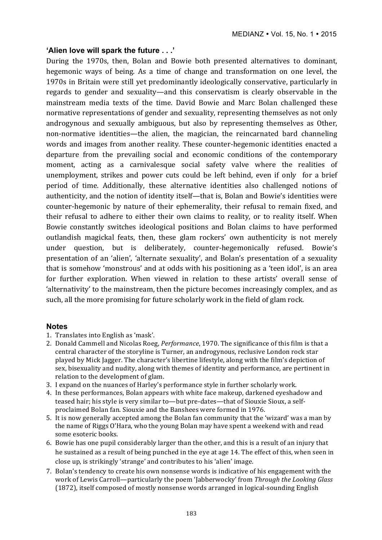### **'Alien love will spark the future . . .'**

During the 1970s, then, Bolan and Bowie both presented alternatives to dominant, hegemonic ways of being. As a time of change and transformation on one level, the 1970s in Britain were still yet predominantly ideologically conservative, particularly in regards to gender and sexuality—and this conservatism is clearly observable in the mainstream media texts of the time. David Bowie and Marc Bolan challenged these normative representations of gender and sexuality, representing themselves as not only androgynous and sexually ambiguous, but also by representing themselves as Other, non-normative identities—the alien, the magician, the reincarnated bard channeling words and images from another reality. These counter-hegemonic identities enacted a departure from the prevailing social and economic conditions of the contemporary moment, acting as a carnivalesque social safety valve where the realities of unemployment, strikes and power cuts could be left behind, even if only for a brief period of time. Additionally, these alternative identities also challenged notions of authenticity, and the notion of identity itself—that is, Bolan and Bowie's identities were counter-hegemonic by nature of their ephemerality, their refusal to remain fixed, and their refusal to adhere to either their own claims to reality, or to reality itself. When Bowie constantly switches ideological positions and Bolan claims to have performed outlandish magickal feats, then, these glam rockers' own authenticity is not merely under question, but is deliberately, counter-hegemonically refused. Bowie's presentation of an 'alien', 'alternate sexuality', and Bolan's presentation of a sexuality that is somehow 'monstrous' and at odds with his positioning as a 'teen idol', is an area for further exploration. When viewed in relation to these artists' overall sense of 'alternativity' to the mainstream, then the picture becomes increasingly complex, and as such, all the more promising for future scholarly work in the field of glam rock.

## **Notes**

- 1. Translates into English as 'mask'.
- 2. Donald Cammell and Nicolas Roeg, *Performance*, 1970. The significance of this film is that a central character of the storyline is Turner, an androgynous, reclusive London rock star played by Mick Jagger. The character's libertine lifestyle, along with the film's depiction of sex, bisexuality and nudity, along with themes of identity and performance, are pertinent in relation to the development of glam.
- 3. I expand on the nuances of Harley's performance style in further scholarly work.
- 4. In these performances, Bolan appears with white face makeup, darkened eyeshadow and teased hair; his style is very similar to—but pre-dates—that of Siouxie Sioux, a selfproclaimed Bolan fan. Siouxie and the Banshees were formed in 1976.
- 5. It is now generally accepted among the Bolan fan community that the 'wizard' was a man by the name of Riggs O'Hara, who the young Bolan may have spent a weekend with and read some esoteric books.
- 6. Bowie has one pupil considerably larger than the other, and this is a result of an injury that he sustained as a result of being punched in the eye at age 14. The effect of this, when seen in close up, is strikingly 'strange' and contributes to his 'alien' image.
- 7. Bolan's tendency to create his own nonsense words is indicative of his engagement with the work of Lewis Carroll—particularly the poem 'Jabberwocky' from *Through the Looking Glass*  $(1872)$ , itself composed of mostly nonsense words arranged in logical-sounding English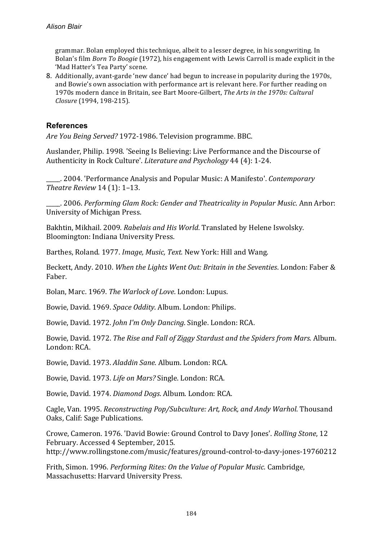grammar. Bolan employed this technique, albeit to a lesser degree, in his songwriting. In Bolan's film *Born To Boogie* (1972), his engagement with Lewis Carroll is made explicit in the 'Mad Hatter's Tea Party' scene.

8. Additionally, avant-garde 'new dance' had begun to increase in popularity during the 1970s, and Bowie's own association with performance art is relevant here. For further reading on 1970s modern dance in Britain, see Bart Moore-Gilbert, The Arts in the 1970s: Cultural *Closure* (1994, 198-215).

# **References**

Are You Being Served? 1972-1986. Television programme. BBC.

Auslander, Philip. 1998. 'Seeing Is Believing: Live Performance and the Discourse of Authenticity in Rock Culture'. *Literature and Psychology* 44 (4): 1-24.

\_\_\_\_\_. 2004. 'Performance Analysis and Popular Music: A Manifesto'. *Contemporary Theatre Review* 14 (1): 1-13.

\_\_\_\_\_. 2006. *Performing Glam Rock: Gender and Theatricality in Popular Music*. Ann Arbor: University of Michigan Press.

Bakhtin, Mikhail. 2009. *Rabelais and His World*. Translated by Helene Iswolsky. Bloomington: Indiana University Press.

Barthes, Roland. 1977. *Image, Music, Text.* New York: Hill and Wang.

Beckett, Andy. 2010. When the Lights Went Out: Britain in the Seventies. London: Faber & Faber.

Bolan, Marc. 1969. *The Warlock of Love*. London: Lupus.

Bowie, David. 1969. *Space Oddity*. Album. London: Philips.

Bowie, David. 1972. John I'm Only Dancing. Single. London: RCA.

Bowie, David. 1972. *The Rise and Fall of Ziggy Stardust and the Spiders from Mars. Album.* London: RCA.

Bowie, David. 1973. *Aladdin Sane*. Album. London: RCA.

Bowie, David. 1973. *Life on Mars?* Single. London: RCA.

Bowie, David. 1974. *Diamond Dogs*. Album. London: RCA.

Cagle, Van. 1995. *Reconstructing Pop/Subculture: Art, Rock, and Andy Warhol.* Thousand Oaks, Calif: Sage Publications.

Crowe, Cameron. 1976. 'David Bowie: Ground Control to Davy Jones'. *Rolling Stone*, 12 February. Accessed 4 September, 2015. http://www.rollingstone.com/music/features/ground-control-to-davy-jones-19760212

Frith, Simon. 1996. *Performing Rites: On the Value of Popular Music*. Cambridge, Massachusetts: Harvard University Press.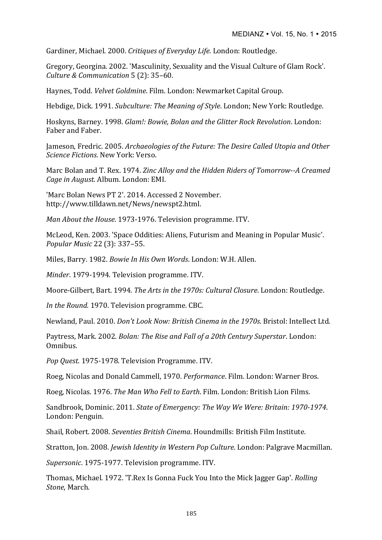Gardiner, Michael. 2000. *Critiques of Everyday Life*. London: Routledge.

Gregory, Georgina. 2002. 'Masculinity, Sexuality and the Visual Culture of Glam Rock'. *Culture & Communication* 5 (2): 35–60.

Haynes, Todd. *Velvet Goldmine*. Film. London: Newmarket Capital Group.

Hebdige, Dick. 1991. *Subculture: The Meaning of Style*. London; New York: Routledge.

Hoskyns, Barney. 1998. *Glam!: Bowie, Bolan and the Glitter Rock Revolution*. London: Faber and Faber.

Jameson, Fredric. 2005. Archaeologies of the Future: The Desire Called Utopia and Other *Science Fictions*. New York: Verso.

Marc Bolan and T. Rex. 1974. *Zinc Alloy and the Hidden Riders of Tomorrow--A Creamed Cage in August.* Album. London: EMI.

'Marc Bolan News PT 2'. 2014. Accessed 2 November. http://www.tilldawn.net/News/newspt2.html.

*Man About the House.* 1973-1976. Television programme. ITV.

McLeod, Ken. 2003. 'Space Oddities: Aliens, Futurism and Meaning in Popular Music'. *Popular Music* 22 (3): 337-55.

Miles, Barry. 1982. *Bowie In His Own Words*. London: W.H. Allen.

*Minder.* 1979-1994. Television programme. ITV.

Moore-Gilbert, Bart. 1994. *The Arts in the 1970s: Cultural Closure*. London: Routledge.

*In the Round.* 1970. Television programme. CBC.

Newland, Paul. 2010. *Don't Look Now: British Cinema in the 1970s*. Bristol: Intellect Ltd.

Paytress, Mark. 2002. *Bolan: The Rise and Fall of a 20th Century Superstar*. London: Omnibus.

Pop Quest. 1975-1978. Television Programme. ITV.

Roeg, Nicolas and Donald Cammell, 1970. *Performance*. Film. London: Warner Bros.

Roeg, Nicolas. 1976. *The Man Who Fell to Earth*. Film. London: British Lion Films.

Sandbrook, Dominic. 2011. *State of Emergency: The Way We Were: Britain: 1970-1974.* London: Penguin.

Shail, Robert. 2008. *Seventies British Cinema*. Houndmills: British Film Institute.

Stratton, Ion. 2008. *Jewish Identity in Western Pop Culture*. London: Palgrave Macmillan.

*Supersonic.* 1975-1977. Television programme. ITV.

Thomas, Michael. 1972. 'T.Rex Is Gonna Fuck You Into the Mick Jagger Gap'. *Rolling* Stone, March.